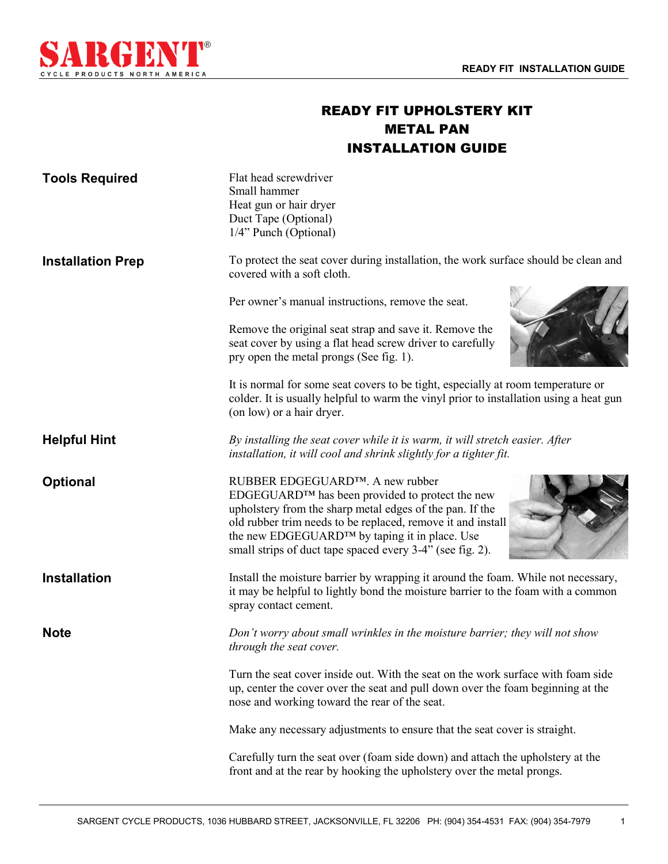1



## READY FIT UPHOLSTERY KIT METAL PAN INSTALLATION GUIDE

| <b>Tools Required</b>    | Flat head screwdriver<br>Small hammer<br>Heat gun or hair dryer<br>Duct Tape (Optional)<br>1/4" Punch (Optional)                                                                                                                                                                                                            |
|--------------------------|-----------------------------------------------------------------------------------------------------------------------------------------------------------------------------------------------------------------------------------------------------------------------------------------------------------------------------|
| <b>Installation Prep</b> | To protect the seat cover during installation, the work surface should be clean and<br>covered with a soft cloth.                                                                                                                                                                                                           |
|                          | Per owner's manual instructions, remove the seat.                                                                                                                                                                                                                                                                           |
|                          | Remove the original seat strap and save it. Remove the<br>seat cover by using a flat head screw driver to carefully<br>pry open the metal prongs (See fig. 1).                                                                                                                                                              |
|                          | It is normal for some seat covers to be tight, especially at room temperature or<br>colder. It is usually helpful to warm the vinyl prior to installation using a heat gun<br>(on low) or a hair dryer.                                                                                                                     |
| <b>Helpful Hint</b>      | By installing the seat cover while it is warm, it will stretch easier. After<br>installation, it will cool and shrink slightly for a tighter fit.                                                                                                                                                                           |
| <b>Optional</b>          | RUBBER EDGEGUARD™. A new rubber<br>EDGEGUARD™ has been provided to protect the new<br>upholstery from the sharp metal edges of the pan. If the<br>old rubber trim needs to be replaced, remove it and install<br>the new EDGEGUARD™ by taping it in place. Use<br>small strips of duct tape spaced every 3-4" (see fig. 2). |
| <b>Installation</b>      | Install the moisture barrier by wrapping it around the foam. While not necessary,<br>it may be helpful to lightly bond the moisture barrier to the foam with a common<br>spray contact cement.                                                                                                                              |
| <b>Note</b>              | Don't worry about small wrinkles in the moisture barrier; they will not show<br>through the seat cover.                                                                                                                                                                                                                     |
|                          | Turn the seat cover inside out. With the seat on the work surface with foam side<br>up, center the cover over the seat and pull down over the foam beginning at the<br>nose and working toward the rear of the seat.                                                                                                        |
|                          | Make any necessary adjustments to ensure that the seat cover is straight.                                                                                                                                                                                                                                                   |
|                          | Carefully turn the seat over (foam side down) and attach the upholstery at the<br>front and at the rear by hooking the upholstery over the metal prongs.                                                                                                                                                                    |